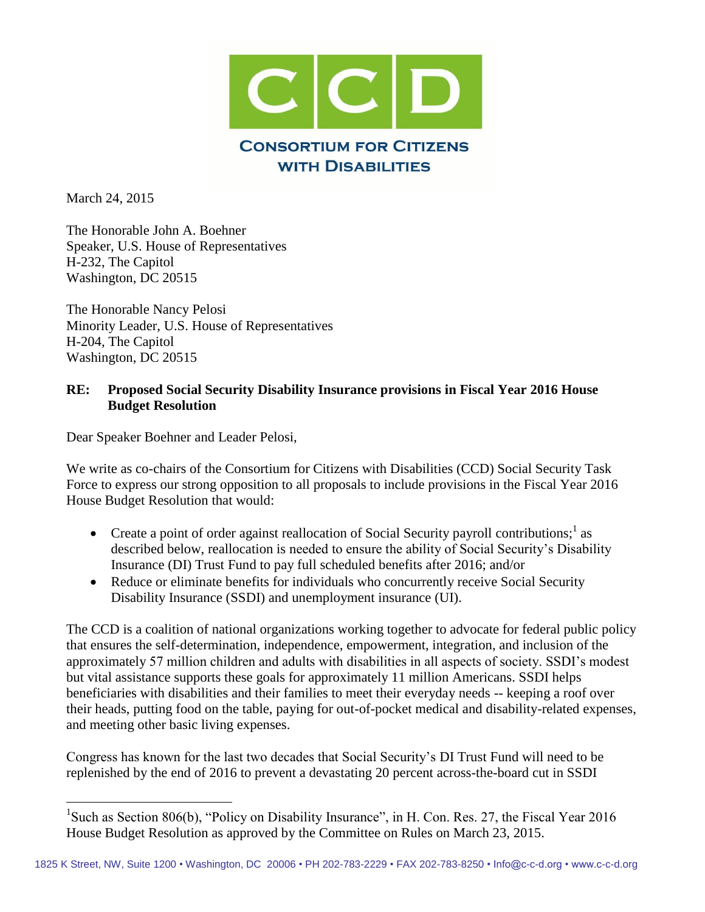

March 24, 2015

 $\overline{a}$ 

The Honorable John A. Boehner Speaker, U.S. House of Representatives H-232, The Capitol Washington, DC 20515

The Honorable Nancy Pelosi Minority Leader, U.S. House of Representatives H-204, The Capitol Washington, DC 20515

## **RE: Proposed Social Security Disability Insurance provisions in Fiscal Year 2016 House Budget Resolution**

Dear Speaker Boehner and Leader Pelosi,

We write as co-chairs of the Consortium for Citizens with Disabilities (CCD) Social Security Task Force to express our strong opposition to all proposals to include provisions in the Fiscal Year 2016 House Budget Resolution that would:

- Create a point of order against reallocation of Social Security payroll contributions;  $\alpha$  as described below, reallocation is needed to ensure the ability of Social Security's Disability Insurance (DI) Trust Fund to pay full scheduled benefits after 2016; and/or
- Reduce or eliminate benefits for individuals who concurrently receive Social Security Disability Insurance (SSDI) and unemployment insurance (UI).

The CCD is a coalition of national organizations working together to advocate for federal public policy that ensures the self-determination, independence, empowerment, integration, and inclusion of the approximately 57 million children and adults with disabilities in all aspects of society. SSDI's modest but vital assistance supports these goals for approximately 11 million Americans. SSDI helps beneficiaries with disabilities and their families to meet their everyday needs -- keeping a roof over their heads, putting food on the table, paying for out-of-pocket medical and disability-related expenses, and meeting other basic living expenses.

Congress has known for the last two decades that Social Security's DI Trust Fund will need to be replenished by the end of 2016 to prevent a devastating 20 percent across-the-board cut in SSDI

<sup>&</sup>lt;sup>1</sup>Such as Section 806(b), "Policy on Disability Insurance", in H. Con. Res. 27, the Fiscal Year 2016 House Budget Resolution as approved by the Committee on Rules on March 23, 2015.